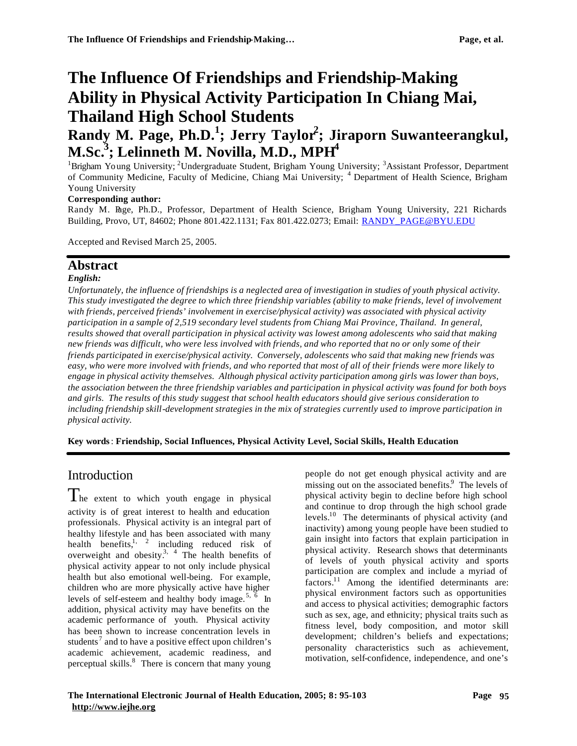# **The Influence Of Friendships and Friendship-Making Ability in Physical Activity Participation In Chiang Mai, Thailand High School Students**

# **Randy M. Page, Ph.D.<sup>1</sup> ; Jerry Taylor<sup>2</sup> ; Jiraporn Suwanteerangkul, M.Sc.<sup>3</sup> ; Lelinneth M. Novilla, M.D., MPH<sup>4</sup>**

<sup>1</sup>Brigham Young University; <sup>2</sup>Undergraduate Student, Brigham Young University; <sup>3</sup>Assistant Professor, Department of Community Medicine, Faculty of Medicine, Chiang Mai University; <sup>4</sup> Department of Health Science, Brigham Young University

#### **Corresponding author:**

Randy M. Page, Ph.D., Professor, Department of Health Science, Brigham Young University, 221 Richards Building, Provo, UT, 84602; Phone 801.422.1131; Fax 801.422.0273; Email: RANDY\_PAGE@BYU.EDU

Accepted and Revised March 25, 2005.

### **Abstract**

#### *English:*

*Unfortunately, the influence of friendships is a neglected area of investigation in studies of youth physical activity. This study investigated the degree to which three friendship variables (ability to make friends, level of involvement with friends, perceived friends' involvement in exercise/physical activity) was associated with physical activity participation in a sample of 2,519 secondary level students from Chiang Mai Province, Thailand. In general, results showed that overall participation in physical activity was lowest among adolescents who said that making new friends was difficult, who were less involved with friends, and who reported that no or only some of their friends participated in exercise/physical activity. Conversely, adolescents who said that making new friends was easy, who were more involved with friends, and who reported that most of all of their friends were more likely to engage in physical activity themselves. Although physical activity participation among girls was lower than boys, the association between the three friendship variables and participation in physical activity was found for both boys and girls. The results of this study suggest that school health educators should give serious consideration to including friendship skill-development strategies in the mix of strategies currently used to improve participation in physical activity.*

**Key words**: **Friendship, Social Influences, Physical Activity Level, Social Skills, Health Education**

## Introduction

The extent to which youth engage in physical activity is of great interest to health and education professionals. Physical activity is an integral part of healthy lifestyle and has been associated with many health benefits,<sup>1, 2</sup> including reduced risk of overweight and obesity.<sup>3, 4</sup> The health benefits of physical activity appear to not only include physical health but also emotional well-being. For example, children who are more physically active have higher levels of self-esteem and healthy body image.<sup>5,  $\overline{6}$ </sup> In addition, physical activity may have benefits on the academic performance of youth. Physical activity has been shown to increase concentration levels in students<sup>7</sup> and to have a positive effect upon children's academic achievement, academic readiness, and perceptual skills.<sup>8</sup> There is concern that many young

people do not get enough physical activity and are missing out on the associated benefits.<sup>9</sup> The levels of physical activity begin to decline before high school and continue to drop through the high school grade levels.<sup>10</sup> The determinants of physical activity (and inactivity) among young people have been studied to gain insight into factors that explain participation in physical activity. Research shows that determinants of levels of youth physical activity and sports participation are complex and include a myriad of factors.<sup>11</sup> Among the identified determinants are: physical environment factors such as opportunities and access to physical activities; demographic factors such as sex, age, and ethnicity; physical traits such as fitness level, body composition, and motor skill development; children's beliefs and expectations; personality characteristics such as achievement, motivation, self-confidence, independence, and one's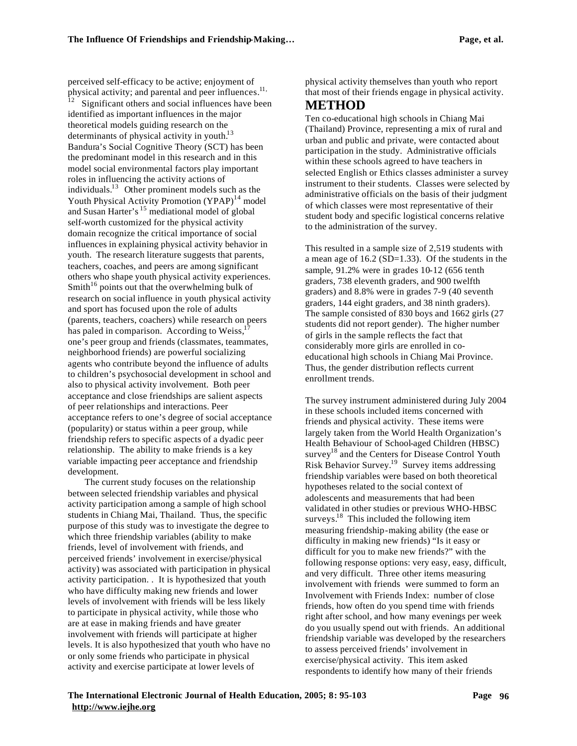perceived self-efficacy to be active; enjoyment of physical activity; and parental and peer influences.<sup>11,</sup> Significant others and social influences have been identified as important influences in the major theoretical models guiding research on the determinants of physical activity in youth.<sup>13</sup> Bandura's Social Cognitive Theory (SCT) has been the predominant model in this research and in this model social environmental factors play important roles in influencing the activity actions of individuals.<sup>13</sup> Other prominent models such as the Youth Physical Activity Promotion (YPAP)<sup>14</sup> model and Susan Harter's  $15$  mediational model of global self-worth customized for the physical activity domain recognize the critical importance of social influences in explaining physical activity behavior in youth. The research literature suggests that parents, teachers, coaches, and peers are among significant others who shape youth physical activity experiences. Smith<sup>16</sup> points out that the overwhelming bulk of research on social influence in youth physical activity and sport has focused upon the role of adults (parents, teachers, coachers) while research on peers has paled in comparison. According to Weiss, $<sup>1</sup>$ </sup> one's peer group and friends (classmates, teammates, neighborhood friends) are powerful socializing agents who contribute beyond the influence of adults to children's psychosocial development in school and also to physical activity involvement. Both peer acceptance and close friendships are salient aspects of peer relationships and interactions. Peer acceptance refers to one's degree of social acceptance (popularity) or status within a peer group, while friendship refers to specific aspects of a dyadic peer relationship. The ability to make friends is a key variable impacting peer acceptance and friendship development.

The current study focuses on the relationship between selected friendship variables and physical activity participation among a sample of high school students in Chiang Mai, Thailand. Thus, the specific purpose of this study was to investigate the degree to which three friendship variables (ability to make friends, level of involvement with friends, and perceived friends' involvement in exercise/physical activity) was associated with participation in physical activity participation. . It is hypothesized that youth who have difficulty making new friends and lower levels of involvement with friends will be less likely to participate in physical activity, while those who are at ease in making friends and have greater involvement with friends will participate at higher levels. It is also hypothesized that youth who have no or only some friends who participate in physical activity and exercise participate at lower levels of

physical activity themselves than youth who report that most of their friends engage in physical activity.

## **METHOD**

Ten co-educational high schools in Chiang Mai (Thailand) Province, representing a mix of rural and urban and public and private, were contacted about participation in the study. Administrative officials within these schools agreed to have teachers in selected English or Ethics classes administer a survey instrument to their students. Classes were selected by administrative officials on the basis of their judgment of which classes were most representative of their student body and specific logistical concerns relative to the administration of the survey.

This resulted in a sample size of 2,519 students with a mean age of 16.2 (SD=1.33). Of the students in the sample, 91.2% were in grades 10-12 (656 tenth graders, 738 eleventh graders, and 900 twelfth graders) and 8.8% were in grades 7-9 (40 seventh graders, 144 eight graders, and 38 ninth graders). The sample consisted of 830 boys and 1662 girls (27 students did not report gender). The higher number of girls in the sample reflects the fact that considerably more girls are enrolled in coeducational high schools in Chiang Mai Province. Thus, the gender distribution reflects current enrollment trends.

The survey instrument administered during July 2004 in these schools included items concerned with friends and physical activity. These items were largely taken from the World Health Organization's Health Behaviour of School-aged Children (HBSC) survey<sup>18</sup> and the Centers for Disease Control Youth Risk Behavior Survey.<sup>19</sup> Survey items addressing friendship variables were based on both theoretical hypotheses related to the social context of adolescents and measurements that had been validated in other studies or previous WHO-HBSC surveys.<sup>18</sup> This included the following item measuring friendship-making ability (the ease or difficulty in making new friends) "Is it easy or difficult for you to make new friends?" with the following response options: very easy, easy, difficult, and very difficult. Three other items measuring involvement with friends were summed to form an Involvement with Friends Index: number of close friends, how often do you spend time with friends right after school, and how many evenings per week do you usually spend out with friends. An additional friendship variable was developed by the researchers to assess perceived friends' involvement in exercise/physical activity. This item asked respondents to identify how many of their friends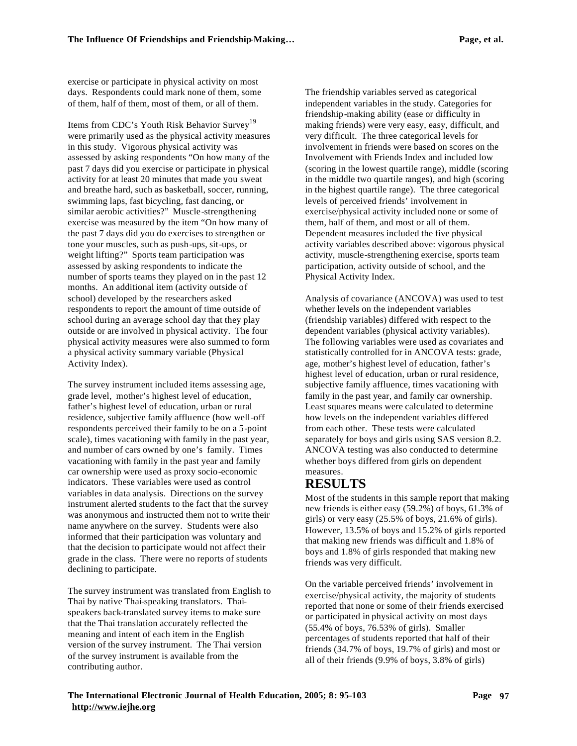exercise or participate in physical activity on most days. Respondents could mark none of them, some of them, half of them, most of them, or all of them.

Items from CDC's Youth Risk Behavior Survey<sup>19</sup> were primarily used as the physical activity measures in this study. Vigorous physical activity was assessed by asking respondents "On how many of the past 7 days did you exercise or participate in physical activity for at least 20 minutes that made you sweat and breathe hard, such as basketball, soccer, running, swimming laps, fast bicycling, fast dancing, or similar aerobic activities?" Muscle-strengthening exercise was measured by the item "On how many of the past 7 days did you do exercises to strengthen or tone your muscles, such as push-ups, sit-ups, or weight lifting?" Sports team participation was assessed by asking respondents to indicate the number of sports teams they played on in the past 12 months. An additional item (activity outside of school) developed by the researchers asked respondents to report the amount of time outside of school during an average school day that they play outside or are involved in physical activity. The four physical activity measures were also summed to form a physical activity summary variable (Physical Activity Index).

The survey instrument included items assessing age, grade level, mother's highest level of education, father's highest level of education, urban or rural residence, subjective family affluence (how well-off respondents perceived their family to be on a 5-point scale), times vacationing with family in the past year, and number of cars owned by one's family. Times vacationing with family in the past year and family car ownership were used as proxy socio-economic indicators. These variables were used as control variables in data analysis. Directions on the survey instrument alerted students to the fact that the survey was anonymous and instructed them not to write their name anywhere on the survey. Students were also informed that their participation was voluntary and that the decision to participate would not affect their grade in the class. There were no reports of students declining to participate.

The survey instrument was translated from English to Thai by native Thai-speaking translators. Thaispeakers back-translated survey items to make sure that the Thai translation accurately reflected the meaning and intent of each item in the English version of the survey instrument. The Thai version of the survey instrument is available from the contributing author.

The friendship variables served as categorical independent variables in the study. Categories for friendship-making ability (ease or difficulty in making friends) were very easy, easy, difficult, and very difficult. The three categorical levels for involvement in friends were based on scores on the Involvement with Friends Index and included low (scoring in the lowest quartile range), middle (scoring in the middle two quartile ranges), and high (scoring in the highest quartile range). The three categorical levels of perceived friends' involvement in exercise/physical activity included none or some of them, half of them, and most or all of them. Dependent measures included the five physical activity variables described above: vigorous physical activity, muscle-strengthening exercise, sports team participation, activity outside of school, and the Physical Activity Index.

Analysis of covariance (ANCOVA) was used to test whether levels on the independent variables (friendship variables) differed with respect to the dependent variables (physical activity variables). The following variables were used as covariates and statistically controlled for in ANCOVA tests: grade, age, mother's highest level of education, father's highest level of education, urban or rural residence, subjective family affluence, times vacationing with family in the past year, and family car ownership. Least squares means were calculated to determine how levels on the independent variables differed from each other. These tests were calculated separately for boys and girls using SAS version 8.2. ANCOVA testing was also conducted to determine whether boys differed from girls on dependent measures.

# **RESULTS**

Most of the students in this sample report that making new friends is either easy (59.2%) of boys, 61.3% of girls) or very easy (25.5% of boys, 21.6% of girls). However, 13.5% of boys and 15.2% of girls reported that making new friends was difficult and 1.8% of boys and 1.8% of girls responded that making new friends was very difficult.

On the variable perceived friends' involvement in exercise/physical activity, the majority of students reported that none or some of their friends exercised or participated in physical activity on most days (55.4% of boys, 76.53% of girls). Smaller percentages of students reported that half of their friends (34.7% of boys, 19.7% of girls) and most or all of their friends (9.9% of boys, 3.8% of girls)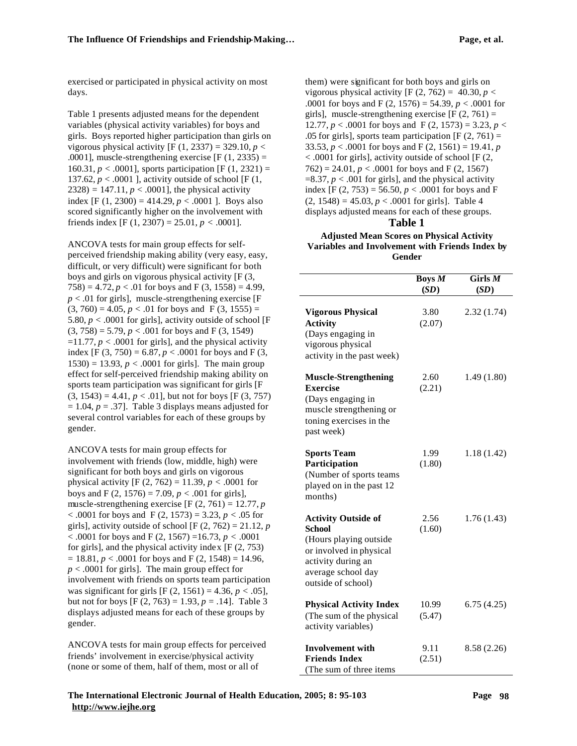exercised or participated in physical activity on most days.

Table 1 presents adjusted means for the dependent variables (physical activity variables) for boys and girls. Boys reported higher participation than girls on vigorous physical activity  $[F (1, 2337) = 329.10, p <$ .0001], muscle-strengthening exercise  $[F(1, 2335) =$ 160.31,  $p < .0001$ ], sports participation [F (1, 2321) = 137.62,  $p < .0001$  ], activity outside of school [F (1,  $2328$ ) = 147.11, *p* < .0001], the physical activity index  $[F (1, 2300) = 414.29, p < .0001]$ . Boys also scored significantly higher on the involvement with friends index [F (1, 2307) = 25.01,  $p < .0001$ ].

ANCOVA tests for main group effects for selfperceived friendship making ability (very easy, easy, difficult, or very difficult) were significant for both boys and girls on vigorous physical activity [F (3, 758) = 4.72,  $p < .01$  for boys and F (3, 1558) = 4.99,  $p < .01$  for girls], muscle-strengthening exercise [F]  $(3, 760) = 4.05$ ,  $p < .01$  for boys and F  $(3, 1555) =$ 5.80,  $p < .0001$  for girls], activity outside of school [F  $(3, 758) = 5.79$ ,  $p < .001$  for boys and F (3, 1549)  $=11.77$ ,  $p < .0001$  for girls], and the physical activity index [F (3, 750) = 6.87,  $p < .0001$  for boys and F (3, 1530) = 13.93,  $p < .0001$  for girls]. The main group effect for self-perceived friendship making ability on sports team participation was significant for girls [F  $(3, 1543) = 4.41, p < .01$ , but not for boys [F (3, 757)  $= 1.04$ ,  $p = .37$ ]. Table 3 displays means adjusted for several control variables for each of these groups by gender.

ANCOVA tests for main group effects for involvement with friends (low, middle, high) were significant for both boys and girls on vigorous physical activity [F  $(2, 762) = 11.39$ ,  $p < .0001$  for boys and F (2, 1576) = 7.09,  $p < .001$  for girls], muscle-strengthening exercise  $[F (2, 761) = 12.77, p]$  $< .0001$  for boys and F (2, 1573) = 3.23, *p*  $< .05$  for girls], activity outside of school  $[F (2, 762) = 21.12, p]$ < .0001 for boys and F (2, 1567) =16.73, *p* < .0001 for girls], and the physical activity index [F (2, 753)  $= 18.81, p < .0001$  for boys and F (2, 1548) = 14.96, *p* < .0001 for girls]. The main group effect for involvement with friends on sports team participation was significant for girls  $[F (2, 1561) = 4.36, p < .05]$ , but not for boys  $[F (2, 763) = 1.93, p = .14]$ . Table 3 displays adjusted means for each of these groups by gender.

ANCOVA tests for main group effects for perceived friends' involvement in exercise/physical activity (none or some of them, half of them, most or all of

them) were significant for both boys and girls on vigorous physical activity  $[F (2, 762) = 40.30, p <$ .0001 for boys and F (2, 1576) = 54.39,  $p < .0001$  for girls], muscle-strengthening exercise  $[F (2, 761) =$ 12.77,  $p < .0001$  for boys and F (2, 1573) = 3.23,  $p <$ .05 for girls], sports team participation  $[F (2, 761) =$ 33.53,  $p < .0001$  for boys and F (2, 1561) = 19.41, *p* < .0001 for girls], activity outside of school [F (2,  $762$ ) = 24.01, *p* < .0001 for boys and F (2, 1567)  $=8.37, p < .001$  for girls], and the physical activity index [F  $(2, 753) = 56.50, p < .0001$  for boys and F  $(2, 1548) = 45.03, p < .0001$  for girls]. Table 4 displays adjusted means for each of these groups.

#### **Table 1**

#### **Adjusted Mean Scores on Physical Activity Variables and Involvement with Friends Index by Gender**

|                                          | Boys M | Girls $M$   |
|------------------------------------------|--------|-------------|
|                                          | (SD)   | (SD)        |
|                                          |        |             |
| <b>Vigorous Physical</b>                 | 3.80   | 2.32(1.74)  |
| <b>Activity</b>                          | (2.07) |             |
| (Days engaging in                        |        |             |
| vigorous physical                        |        |             |
| activity in the past week)               |        |             |
| <b>Muscle-Strengthening</b>              | 2.60   | 1.49(1.80)  |
| Exercise                                 | (2.21) |             |
| (Days engaging in                        |        |             |
| muscle strengthening or                  |        |             |
| toning exercises in the                  |        |             |
| past week)                               |        |             |
| <b>Sports Team</b>                       | 1.99   | 1.18(1.42)  |
| Participation                            | (1.80) |             |
| (Number of sports teams                  |        |             |
| played on in the past 12                 |        |             |
| months)                                  |        |             |
|                                          |        |             |
| <b>Activity Outside of</b>               | 2.56   | 1.76(1.43)  |
| <b>School</b>                            | (1.60) |             |
| (Hours playing outside                   |        |             |
| or involved in physical                  |        |             |
| activity during an<br>average school day |        |             |
| outside of school)                       |        |             |
|                                          |        |             |
| <b>Physical Activity Index</b>           | 10.99  | 6.75(4.25)  |
| (The sum of the physical                 | (5.47) |             |
| activity variables)                      |        |             |
| <b>Involvement with</b>                  | 9.11   | 8.58 (2.26) |
| <b>Friends Index</b>                     | (2.51) |             |
| (The sum of three items                  |        |             |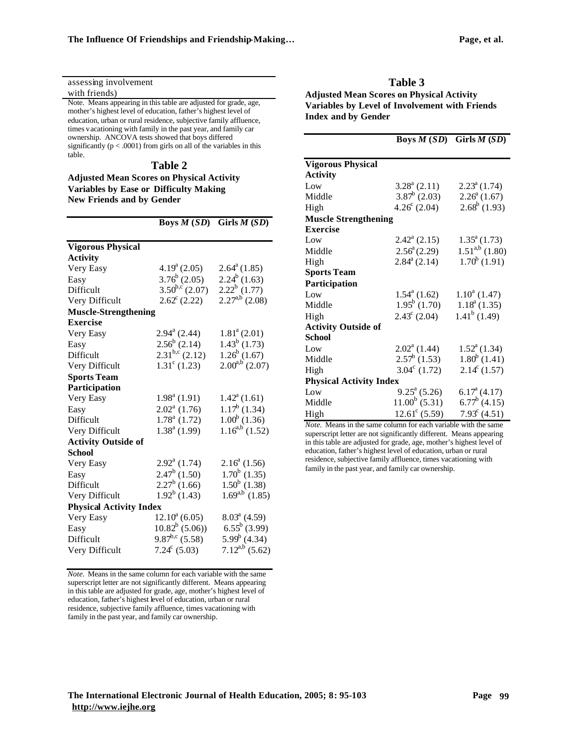| assessing involvement                                                                                                                                                                                                                                                                                                                                                                                           |  |  |  |
|-----------------------------------------------------------------------------------------------------------------------------------------------------------------------------------------------------------------------------------------------------------------------------------------------------------------------------------------------------------------------------------------------------------------|--|--|--|
| with friends)<br>A                                                                                                                                                                                                                                                                                                                                                                                              |  |  |  |
| Note. Means appearing in this table are adjusted for grade, age,<br>mother's highest level of education, father's highest level of<br>Ŀ<br>education, urban or rural residence, subjective family affluence,<br>times vacationing with family in the past year, and family car<br>ownership. ANCOVA tests showed that boys differed<br>significantly ( $p < .0001$ ) from girls on all of the variables in this |  |  |  |
| table.                                                                                                                                                                                                                                                                                                                                                                                                          |  |  |  |
| V<br>Table 2                                                                                                                                                                                                                                                                                                                                                                                                    |  |  |  |
| <b>Adjusted Mean Scores on Physical Activity</b>                                                                                                                                                                                                                                                                                                                                                                |  |  |  |
| <b>Variables by Ease or Difficulty Making</b>                                                                                                                                                                                                                                                                                                                                                                   |  |  |  |
| N<br><b>New Friends and by Gender</b><br>Н                                                                                                                                                                                                                                                                                                                                                                      |  |  |  |
| N<br><b>Boys <math>M(SD)</math></b> Girls $M(SD)$<br>E                                                                                                                                                                                                                                                                                                                                                          |  |  |  |
| L<br><b>Vigorous Physical</b><br>٦.                                                                                                                                                                                                                                                                                                                                                                             |  |  |  |

| <b>Activity</b>                |                            |                           |
|--------------------------------|----------------------------|---------------------------|
| Very Easy                      | $4.19^{\rm a}$ (2.05)      | $2.64^a(1.85)$            |
| Easy                           | $3.76^b$ (2.05)            | $2.24^b$ (1.63)           |
| Difficult                      | $3.50^{b,c}$ (2.07)        | $2.22^b$ (1.77)           |
| Very Difficult                 | $2.62^{\circ}$ (2.22)      | $2.27^{a,b}$ (2.08)       |
| <b>Muscle-Strengthening</b>    |                            |                           |
| <b>Exercise</b>                |                            |                           |
| Very Easy                      | $2.94^{\mathrm{a}}$ (2.44) | $1.81^{\circ}$ (2.01)     |
| Easy                           | $2.56^b$ (2.14)            | $1.43^b$ (1.73)           |
| Difficult                      | $2.31^{b,c}$ (2.12)        | $1.26^b$ (1.67)           |
| Very Difficult                 | $1.31^{\circ}$ (1.23)      | $2.00^{a,b}$ (2.07)       |
| <b>Sports Team</b>             |                            |                           |
| Participation                  |                            |                           |
| Very Easy                      | $1.98^a(1.91)$             | $1.42^{\mathrm{a}}(1.61)$ |
| Easy                           | $2.02^{\text{a}}$ (1.76)   | $1.17^b$ (1.34)           |
| Difficult                      | $1.78^a$ (1.72)            | $1.00^b$ (1.36)           |
| Very Difficult                 | $1.38a$ (1.99)             | $1.16^{a,b}$ (1.52)       |
| <b>Activity Outside of</b>     |                            |                           |
| <b>School</b>                  |                            |                           |
| Very Easy                      | $2.92^a$ (1.74)            | $2.16^a$ (1.56)           |
| Easy                           | $2.47^b$ (1.50)            | $1.70^b$ (1.35)           |
| Difficult                      | $2.27^b$ (1.66)            | $1.50^b$ (1.38)           |
| Very Difficult                 | $1.92^b$ (1.43)            | $1.69^{a,b}$ (1.85)       |
| <b>Physical Activity Index</b> |                            |                           |
| Very Easy                      | $12.10^a$ (6.05)           | $8.03^{\text{a}}$ (4.59)  |
| Easy                           | $10.82^b$ (5.06))          | $6.55^b$ (3.99)           |
| Difficult                      | $9.87^{b,c}$ (5.58)        | $5.99^b$ (4.34)           |
| Very Difficult                 | $7.24^c$ (5.03)            | $7.12^{a,b}$ (5.62)       |

*Note.* Means in the same column for each variable with the same superscript letter are not significantly different. Means appearing in this table are adjusted for grade, age, mother's highest level of education, father's highest level of education, urban or rural residence, subjective family affluence, times vacationing with family in the past year, and family car ownership.

**Table 3 Adjusted Mean Scores on Physical Activity Variables by Level of Involvement with Friends Index and by Gender**

|                                |                            | <b>Boys <math>M(SD)</math></b> Girls $M(SD)$ |
|--------------------------------|----------------------------|----------------------------------------------|
| <b>Vigorous Physical</b>       |                            |                                              |
| <b>Activity</b>                |                            |                                              |
| Low                            | $3.28^a$ (2.11)            | $2.23^a(1.74)$                               |
| Middle                         | $3.87^b$ (2.03)            | $2.26^a(1.67)$                               |
| High                           | $4.26^{\circ}$ (2.04)      | $2.68^b$ (1.93)                              |
| <b>Muscle Strengthening</b>    |                            |                                              |
| <b>Exercise</b>                |                            |                                              |
| Low                            | $2.42^{\text{a}}$ (2.15)   | $1.35^a(1.73)$                               |
| Middle                         | $2.56^{\circ}$ (2.29)      | $1.51^{a,b}$ (1.80)                          |
| High                           | $2.84^{\mathrm{a}}$ (2.14) | $1.70^b$ (1.91)                              |
| <b>Sports Team</b>             |                            |                                              |
| Participation                  |                            |                                              |
| Low                            | $1.54^{\circ}$ (1.62)      | $1.10^a$ (1.47)                              |
| Middle                         | $1.95^b$ (1.70)            | $1.18a$ (1.35)                               |
| High                           | $2.43^{\circ}$ (2.04)      | $1.41^b$ (1.49)                              |
| <b>Activity Outside of</b>     |                            |                                              |
| <b>School</b>                  |                            |                                              |
| Low                            | $2.02^{\text{a}}$ (1.44)   | $1.52^{\mathrm{a}}(1.34)$                    |
| Middle                         | $2.57^b$ (1.53)            | $1.80^b$ (1.41)                              |
| High                           | $3.04^{\circ}$ (1.72)      | $2.14^{\circ}$ (1.57)                        |
| <b>Physical Activity Index</b> |                            |                                              |
| Low                            | $9.25^{\mathrm{a}}$ (5.26) | $6.17^{\mathrm{a}}(4.17)$                    |
| Middle                         | $11.00^b$ (5.31)           | $6.77^b$ (4.15)                              |
| High                           | $12.61^{\circ}$ (5.59)     | $7.93^{\circ}$ (4.51)                        |

*Note.* Means in the same column for each variable with the same superscript letter are not significantly different. Means appearing in this table are adjusted for grade, age, mother's highest level of education, father's highest level of education, urban or rural residence, subjective family affluence, times vacationing with family in the past year, and family car ownership.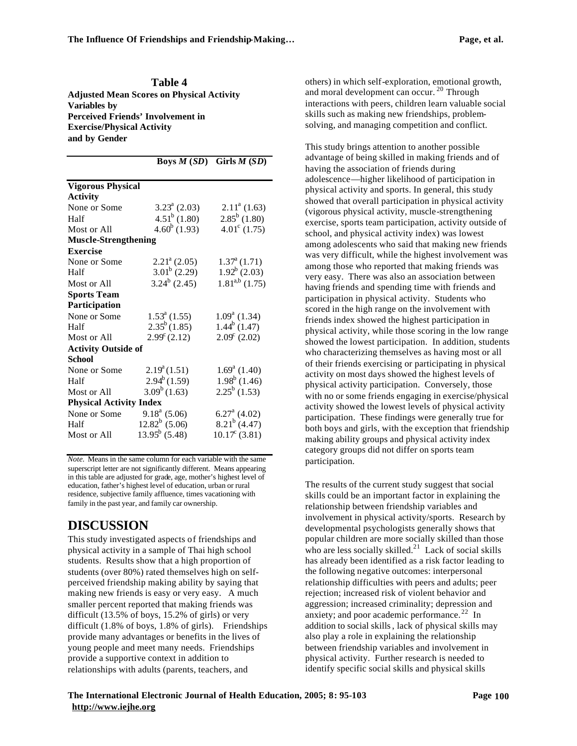**Table 4 Adjusted Mean Scores on Physical Activity Variables by Perceived Friends' Involvement in Exercise/Physical Activity and by Gender**

|                                |                       | Boys $M(SD)$ Girls $M(SD)$ |
|--------------------------------|-----------------------|----------------------------|
| <b>Vigorous Physical</b>       |                       |                            |
| <b>Activity</b>                |                       |                            |
| None or Some                   | $3.23^a$ (2.03)       | $2.11^a$ (1.63)            |
| Half                           | $4.51^b$ (1.80)       | $2.85^b$ (1.80)            |
| Most or All                    | $4.60^b$ (1.93)       | $4.01^{\circ}$ (1.75)      |
| <b>Muscle-Strengthening</b>    |                       |                            |
| <b>Exercise</b>                |                       |                            |
| None or Some                   | $2.21^a$ (2.05)       | $1.37^{\mathrm{a}}(1.71)$  |
| Half                           | $3.01^b$ (2.29)       | $1.92^b$ (2.03)            |
| Most or All                    | $3.24^b$ (2.45)       | $1.81^{a,b}$ (1.75)        |
| <b>Sports Team</b>             |                       |                            |
| <b>Participation</b>           |                       |                            |
| None or Some                   | $1.53^a$ (1.55)       | $1.09^a$ (1.34)            |
| Half                           | $2.35^b(1.85)$        | $1.44^b$ (1.47)            |
| Most or All                    | $2.99^{\circ}$ (2.12) | $2.09^{\circ}$ (2.02)      |
| <b>Activity Outside of</b>     |                       |                            |
| <b>School</b>                  |                       |                            |
| None or Some                   | $2.19^a(1.51)$        | $1.69^a$ (1.40)            |
| Half                           | $2.94^b(1.59)$        | $1.98^b$ (1.46)            |
| Most or All                    | $3.09^b(1.63)$        | $2.25^b$ (1.53)            |
| <b>Physical Activity Index</b> |                       |                            |
| None or Some                   | $9.18a$ (5.06)        | $6.27^{\text{a}}$ (4.02)   |
| Half                           | $12.82^b$ (5.06)      | $8.21^b$ (4.47)            |
| Most or All                    | $13.95^b$ (5.48)      | $10.17^{\circ}$ (3.81)     |

*Note.* Means in the same column for each variable with the same superscript letter are not significantly different. Means appearing in this table are adjusted for grade, age, mother's highest level of education, father's highest level of education, urban or rural residence, subjective family affluence, times vacationing with family in the past year, and family car ownership.

# **DISCUSSION**

This study investigated aspects of friendships and physical activity in a sample of Thai high school students. Results show that a high proportion of students (over 80%) rated themselves high on selfperceived friendship making ability by saying that making new friends is easy or very easy. A much smaller percent reported that making friends was difficult (13.5% of boys, 15.2% of girls) or very difficult (1.8% of boys, 1.8% of girls). Friendships provide many advantages or benefits in the lives of young people and meet many needs. Friendships provide a supportive context in addition to relationships with adults (parents, teachers, and

others) in which self-exploration, emotional growth, and moral development can occur.<sup>20</sup> Through interactions with peers, children learn valuable social skills such as making new friendships, problemsolving, and managing competition and conflict.

This study brings attention to another possible advantage of being skilled in making friends and of having the association of friends during adolescence—higher likelihood of participation in physical activity and sports. In general, this study showed that overall participation in physical activity (vigorous physical activity, muscle-strengthening exercise, sports team participation, activity outside of school, and physical activity index) was lowest among adolescents who said that making new friends was very difficult, while the highest involvement was among those who reported that making friends was very easy. There was also an association between having friends and spending time with friends and participation in physical activity. Students who scored in the high range on the involvement with friends index showed the highest participation in physical activity, while those scoring in the low range showed the lowest participation. In addition, students who characterizing themselves as having most or all of their friends exercising or participating in physical activity on most days showed the highest levels of physical activity participation. Conversely, those with no or some friends engaging in exercise/physical activity showed the lowest levels of physical activity participation. These findings were generally true for both boys and girls, with the exception that friendship making ability groups and physical activity index category groups did not differ on sports team participation.

The results of the current study suggest that social skills could be an important factor in explaining the relationship between friendship variables and involvement in physical activity/sports. Research by developmental psychologists generally shows that popular children are more socially skilled than those who are less socially skilled.<sup>21</sup> Lack of social skills has already been identified as a risk factor leading to the following negative outcomes: interpersonal relationship difficulties with peers and adults; peer rejection; increased risk of violent behavior and aggression; increased criminality; depression and anxiety; and poor academic performance.  $22 \text{ In}$ addition to social skills, lack of physical skills may also play a role in explaining the relationship between friendship variables and involvement in physical activity. Further research is needed to identify specific social skills and physical skills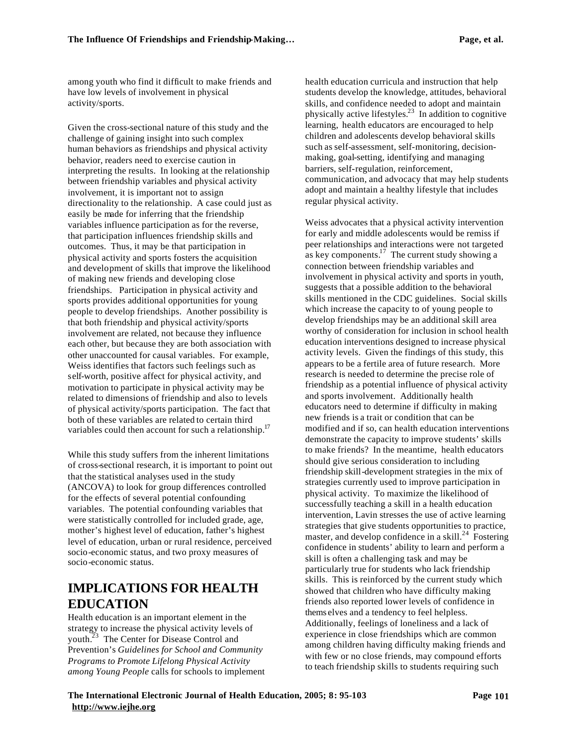among youth who find it difficult to make friends and have low levels of involvement in physical activity/sports.

Given the cross-sectional nature of this study and the challenge of gaining insight into such complex human behaviors as friendships and physical activity behavior, readers need to exercise caution in interpreting the results. In looking at the relationship between friendship variables and physical activity involvement, it is important not to assign directionality to the relationship. A case could just as easily be made for inferring that the friendship variables influence participation as for the reverse, that participation influences friendship skills and outcomes. Thus, it may be that participation in physical activity and sports fosters the acquisition and development of skills that improve the likelihood of making new friends and developing close friendships. Participation in physical activity and sports provides additional opportunities for young people to develop friendships. Another possibility is that both friendship and physical activity/sports involvement are related, not because they influence each other, but because they are both association with other unaccounted for causal variables. For example, Weiss identifies that factors such feelings such as self-worth, positive affect for physical activity, and motivation to participate in physical activity may be related to dimensions of friendship and also to levels of physical activity/sports participation. The fact that both of these variables are related to certain third variables could then account for such a relationship.<sup>17</sup>

While this study suffers from the inherent limitations of cross-sectional research, it is important to point out that the statistical analyses used in the study (ANCOVA) to look for group differences controlled for the effects of several potential confounding variables. The potential confounding variables that were statistically controlled for included grade, age, mother's highest level of education, father's highest level of education, urban or rural residence, perceived socio-economic status, and two proxy measures of socio-economic status.

## **IMPLICATIONS FOR HEALTH EDUCATION**

Health education is an important element in the strategy to increase the physical activity levels of youth.<sup>23</sup> The Center for Disease Control and Prevention's *Guidelines for School and Community Programs to Promote Lifelong Physical Activity among Young People* calls for schools to implement

health education curricula and instruction that help students develop the knowledge, attitudes, behavioral skills, and confidence needed to adopt and maintain physically active lifestyles.<sup>23</sup> In addition to cognitive learning, health educators are encouraged to help children and adolescents develop behavioral skills such as self-assessment, self-monitoring, decisionmaking, goal-setting, identifying and managing barriers, self-regulation, reinforcement, communication, and advocacy that may help students adopt and maintain a healthy lifestyle that includes regular physical activity.

Weiss advocates that a physical activity intervention for early and middle adolescents would be remiss if peer relationships and interactions were not targeted as key components. $\frac{17}{17}$  The current study showing a connection between friendship variables and involvement in physical activity and sports in youth, suggests that a possible addition to the behavioral skills mentioned in the CDC guidelines. Social skills which increase the capacity to of young people to develop friendships may be an additional skill area worthy of consideration for inclusion in school health education interventions designed to increase physical activity levels. Given the findings of this study, this appears to be a fertile area of future research. More research is needed to determine the precise role of friendship as a potential influence of physical activity and sports involvement. Additionally health educators need to determine if difficulty in making new friends is a trait or condition that can be modified and if so, can health education interventions demonstrate the capacity to improve students' skills to make friends? In the meantime, health educators should give serious consideration to including friendship skill-development strategies in the mix of strategies currently used to improve participation in physical activity. To maximize the likelihood of successfully teaching a skill in a health education intervention, Lavin stresses the use of active learning strategies that give students opportunities to practice, master, and develop confidence in a skill.<sup>24</sup> Fostering confidence in students' ability to learn and perform a skill is often a challenging task and may be particularly true for students who lack friendship skills. This is reinforced by the current study which showed that children who have difficulty making friends also reported lower levels of confidence in thems elves and a tendency to feel helpless. Additionally, feelings of loneliness and a lack of experience in close friendships which are common among children having difficulty making friends and with few or no close friends, may compound efforts to teach friendship skills to students requiring such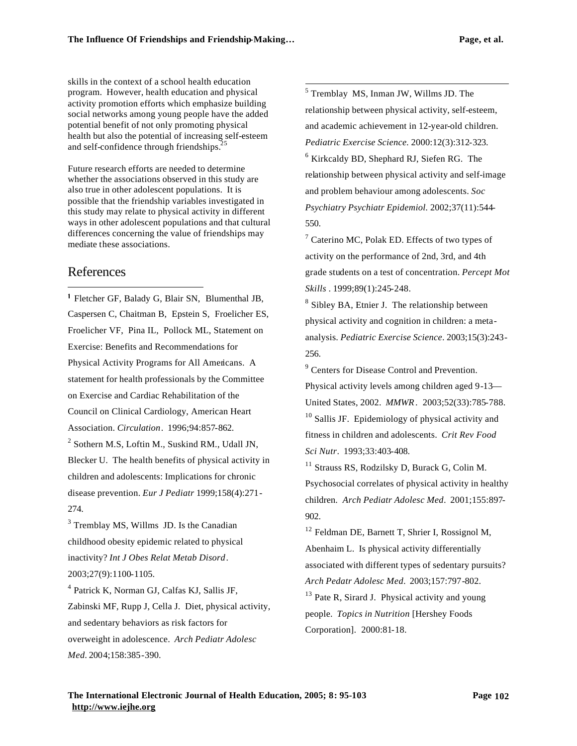skills in the context of a school health education program. However, health education and physical activity promotion efforts which emphasize building social networks among young people have the added potential benefit of not only promoting physical health but also the potential of increasing self-esteem and self-confidence through friendships.<sup>2</sup>

Future research efforts are needed to determine whether the associations observed in this study are also true in other adolescent populations. It is possible that the friendship variables investigated in this study may relate to physical activity in different ways in other adolescent populations and that cultural differences concerning the value of friendships may mediate these associations.

## References

 $\overline{a}$ 

Fletcher GF, Balady G, Blair SN, Blumenthal JB, Caspersen C, Chaitman B, Epstein S, Froelicher ES, Froelicher VF, Pina IL, Pollock ML, Statement on Exercise: Benefits and Recommendations for Physical Activity Programs for All Americans. A statement for health professionals by the Committee on Exercise and Cardiac Rehabilitation of the Council on Clinical Cardiology, American Heart Association. *Circulation*. 1996;94:857-862. <sup>2</sup> Sothern M.S, Loftin M., Suskind RM., Udall JN,

Blecker U. The health benefits of physical activity in children and adolescents: Implications for chronic disease prevention. *Eur J Pediatr* 1999;158(4):271- 274.

<sup>3</sup> Tremblay MS, Willms JD. Is the Canadian childhood obesity epidemic related to physical inactivity? *Int J Obes Relat Metab Disord*. 2003;27(9):1100-1105.

4 Patrick K, Norman GJ, Calfas KJ, Sallis JF, Zabinski MF, Rupp J, Cella J. Diet, physical activity, and sedentary behaviors as risk factors for overweight in adolescence. *Arch Pediatr Adolesc Med.* 2004;158:385-390.

 5 Tremblay MS, Inman JW, Willms JD. The relationship between physical activity, self-esteem, and academic achievement in 12-year-old children. *Pediatric Exercise Science.* 2000:12(3):312-323. 6 Kirkcaldy BD, Shephard RJ, Siefen RG. The relationship between physical activity and self-image and problem behaviour among adolescents. *Soc Psychiatry Psychiatr Epidemiol.* 2002;37(11):544- 550.

<sup>7</sup> Caterino MC, Polak ED. Effects of two types of activity on the performance of 2nd, 3rd, and 4th grade students on a test of concentration. *Percept Mot Skills* . 1999;89(1):245-248.

<sup>8</sup> Sibley BA, Etnier J. The relationship between physical activity and cognition in children: a metaanalysis. *Pediatric Exercise Science*. 2003;15(3):243- 256.

<sup>9</sup> Centers for Disease Control and Prevention. Physical activity levels among children aged 9-13— United States, 2002. *MMWR*. 2003;52(33):785-788. <sup>10</sup> Sallis JF. Epidemiology of physical activity and fitness in children and adolescents. *Crit Rev Food Sci Nutr*. 1993;33:403-408.

<sup>11</sup> Strauss RS, Rodzilsky D, Burack G, Colin M. Psychosocial correlates of physical activity in healthy children. *Arch Pediatr Adolesc Med*. 2001;155:897- 902.

<sup>12</sup> Feldman DE, Barnett T, Shrier I, Rossignol M, Abenhaim L. Is physical activity differentially associated with different types of sedentary pursuits? *Arch Pedatr Adolesc Med.* 2003;157:797-802.  $13$  Pate R, Sirard J. Physical activity and young people. *Topics in Nutrition* [Hershey Foods Corporation]. 2000:81-18.